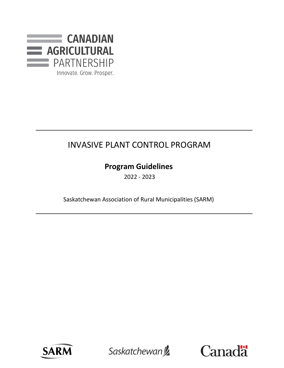

# INVASIVE PLANT CONTROL PROGRAM

# **Program Guidelines**

2022 - 2023

Saskatchewan Association of Rural Municipalities (SARM)



Saskatchewan<sup>y</sup>

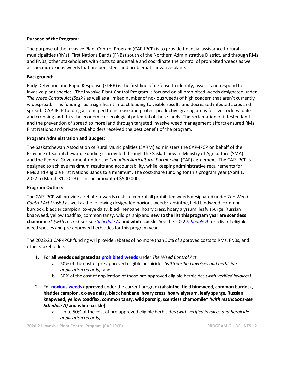## **Purpose of the Program:**

The purpose of the Invasive Plant Control Program (CAP-IPCP) is to provide financial assistance to rural municipalities (RMs), First Nations Bands (FNBs) south of the Northern Administrative District, and through RMs and FNBs, other stakeholders with costs to undertake and coordinate the control of prohibited weeds as well as specific noxious weeds that are persistent and problematic invasive plants.

## **Background:**

Early Detection and Rapid Response (EDRR) is the first line of defense to identify, assess, and respond to invasive plant species. The Invasive Plant Control Program is focused on all prohibited weeds designated under *The Weed Control Act (Sask.)* as well as a limited number of noxious weeds of high concern that aren't currently widespread. This funding has a significant impact leading to visible results and decreased infested acres and spread. CAP-IPCP funding also helped to increase and protect productive grazing areas for livestock, wildlife and cropping and thus the economic or ecological potential of those lands. The reclamation of infested land and the prevention of spread to more land through targeted invasive weed management efforts ensured RMs, First Nations and private stakeholders received the best benefit of the program.

#### **Program Administration and Budget:**

The Saskatchewan Association of Rural Municipalities (SARM) administers the CAP-IPCP on behalf of the Province of Saskatchewan. Funding is provided through the Saskatchewan Ministry of Agriculture (SMA) and the Federal Government under the *Canadian Agricultural Partnership* (CAP) agreement. The CAP-IPCP is designed to achieve maximum results and accountability, while keeping administrative requirements for RMs and eligible First Nations Bands to a minimum. The cost-share funding for this program year (April 1, 2022 to March 31, 2023) is in the amount of \$500,000.

# **Program Outline:**

The CAP-IPCP will provide a rebate towards costs to control all prohibited weeds designated under *The Weed Control Act (Sask.)* as well as the following designated noxious weeds: absinthe, field bindweed, common burdock, bladder campion, ox-eye daisy, black henbane, hoary cress, hoary alyssum, leafy spurge, Russian knapweed, yellow toadflax, common tansy, wild parsnip and **new to the list this program year are scentless chamomile\*** *(with restrictions-see [Schedule A\)](https://sarm.ca/wp-content/uploads/2022/04/CAP-IPCP-Schedule-A-2022-23-FINAL-1.pdf)* **and white cockle**. See the 2022 *[Schedule A](https://sarm.ca/wp-content/uploads/2022/04/CAP-IPCP-Schedule-A-2022-23-FINAL-1.pdf)* for a list of eligible weed species and pre-approved herbicides for this program year.

The 2022-23 CAP-IPCP funding will provide rebates of no more than 50% of approved costs to RMs, FNBs, and other stakeholders:

- 1. For **all weeds designated as [prohibited weeds](https://sarm.ca/wp-content/uploads/2022/04/CAP-IPCP-PROHIBITED-Claim-Form-11x14-fillable.pdf)** under *The Weed Control Act*:
	- a. 50% of the cost of pre-approved eligible herbicides *(with verified invoices and herbicide application records)*; and
	- b. 50% of the cost of application of those pre-approved eligible herbicides *(with verified invoices)*.
- 2. For **[noxious weeds](https://sarm.ca/wp-content/uploads/2022/04/CAP-IPCP-NOXIOUS-Claim-Form-11x14-fillable.pdf) approved** under the current program **(absinthe, field bindweed, common burdock, bladder campion, ox-eye daisy, black henbane, hoary cress, hoary alyssum, leafy spurge, Russian knapweed, yellow toadflax, common tansy, wild parsnip, scentless chamomile\*** *(with restrictions-see Schedule A)* **and white cockle)**:
	- a. Up to 50% of the cost of pre-approved eligible herbicides *(with verified invoices and herbicide application records)*.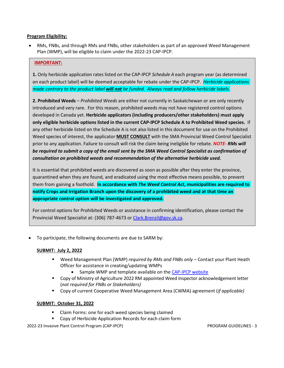#### **Program Eligibility:**

• RMs, FNBs, and through RMs and FNBs, other stakeholders as part of an approved Weed Management Plan (WMP), will be eligible to claim under the 2022-23 CAP-IPCP.

## **IMPORTANT:**

**1.** Only herbicide application rates listed on the CAP-IPCP *Schedule A* each program year (as determined on each product label) will be deemed acceptable for rebate under the CAP-IPCP. *Herbicide applications made contrary to the product label will not be funded. Always read and follow herbicide labels.* 

**2. Prohibited Weeds** – *Prohibited Weeds* are either not currently in Saskatchewan or are only recently introduced and very rare. For this reason, prohibited weeds may not have registered control options developed in Canada yet. **Herbicide applicators (including producers/other stakeholders) must apply only eligible herbicide options listed in the current CAP-IPCP Schedule A to Prohibited Weed species.** If any other herbicide listed on the Schedule A is not also listed in this document for use on the Prohibited Weed species of interest, the applicator **MUST CONSULT** with the SMA Provincial Weed Control Specialist prior to any application. Failure to consult will risk the claim being ineligible for rebate. *NOTE- RMs will be required to submit a copy of the email sent by the SMA Weed Control Specialist as confirmation of consultation on prohibited weeds and recommendation of the alternative herbicide used.*

It is essential that prohibited weeds are discovered as soon as possible after they enter the province, quarantined when they are found, and eradicated using the most effective means possible, to prevent them from gaining a foothold. **In accordance with** *The Weed Control Act***, municipalities are required to notify Crops and Irrigation Branch upon the discovery of a prohibited weed and at that time an appropriate control option will be investigated and approved.**

For control options for Prohibited Weeds or assistance in confirming identification, please contact the Provincial Weed Specialist at: (306) 787-4673 or [Clark.Brenzil@gov.sk.ca.](mailto:Clark.Brenzil@gov.sk.ca)

To participate, the following documents are due to SARM by:

# **SUBMIT: July 2, 2022**

- Weed Management Plan (WMP) *required by RMs and FNBs only* Contact your Plant Heath Officer for assistance in creating/updating WMPs
	- Sample WMP and template available on the [CAP-IPCP website](https://sarm.ca/programs/invasive-plant-control-program/)
- **EX Copy of Ministry of Agriculture 2022 RM appointed Weed Inspector acknowledgement letter** (*not required for FNBs or Stakeholders)*
- Copy of current Cooperative Weed Management Area (CWMA) agreement (*if applicable)*

#### **SUBMIT: October 31, 2022**

- Claim Forms: one for each weed species being claimed
- Copy of Herbicide Application Records for each claim form

2022-23 Invasive Plant Control Program (CAP-IPCP) PROGRAM GUIDELINES - 3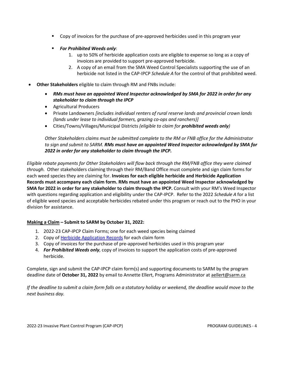- Copy of invoices for the purchase of pre-approved herbicides used in this program year
- *For Prohibited Weeds only*:
	- 1. up to 50% of herbicide application costs are eligible to expense so long as a copy of invoices are provided to support pre-approved herbicide.
	- 2. A copy of an email from the SMA Weed Control Specialists supporting the use of an herbicide not listed in the CAP-IPCP *Schedule A* for the control of that prohibited weed.
- **Other Stakeholders** eligible to claim through RM and FNBs include:
	- *RMs must have an appointed Weed Inspector acknowledged by SMA for 2022 in order for any stakeholder to claim through the IPCP*
	- Agricultural Producers
	- Private Landowners *[includes individual renters of rural reserve lands and provincial crown lands (lands under lease to individual farmers, grazing co-ops and ranchers)]*
	- Cities/Towns/Villages/Municipal Districts *(eligible to claim for prohibited weeds only)*

*Other Stakeholders claims must be submitted complete to the RM or FNB office for the Administrator to sign and submit to SARM. RMs must have an appointed Weed Inspector acknowledged by SMA for 2022 in order for any stakeholder to claim through the IPCP.*

*Eligible rebate payments for Other Stakeholders will flow back through the RM/FNB office they were claimed through.* Other stakeholders claiming through their RM/Band Office must complete and sign claim forms for each weed species they are claiming for. **Invoices for each eligible herbicide and Herbicide Application Records must accompany each claim form. RMs must have an appointed Weed Inspector acknowledged by SMA for 2022 in order for any stakeholder to claim through the IPCP.** Consult with your RM's Weed Inspector with questions regarding application and eligibility under the CAP-IPCP. Refer to the 2022 *Schedule A* for a list of eligible weed species and acceptable herbicides rebated under this program or reach out to the PHO in your division for assistance.

# **Making a Claim – Submit to SARM by October 31, 2022:**

- 1. 2022-23 CAP-IPCP Claim Forms; one for each weed species being claimed
- 2. Copy o[f Herbicide Application Records](https://sarm.ca/wp-content/uploads/2022/04/CAP-IPCP-Herbicide-Application-Record-FINAL-fillable.pdf) for each claim form
- 3. Copy of invoices for the purchase of pre-approved herbicides used in this program year
- 4. *For Prohibited Weeds only*, copy of invoices to support the application costs of pre-approved herbicide.

Complete, sign and submit the CAP-IPCP claim form(s) and supporting documents to SARM by the program deadline date of **October 31, 2022** by email to Annette Ellert, Programs Administrator at [aellert@sarm.ca](mailto:aellert@sarm.ca)

*If the deadline to submit a claim form falls on a statutory holiday or weekend, the deadline would move to the next business day.*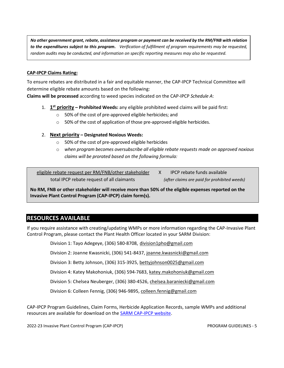*No other government grant, rebate, assistance program or payment can be received by the RM/FNB with relation to the expenditures subject to this program. Verification of fulfillment of program requirements may be requested, random audits may be conducted, and information on specific reporting measures may also be requested.*

#### **CAP-IPCP Claims Rating:**

To ensure rebates are distributed in a fair and equitable manner, the CAP-IPCP Technical Committee will determine eligible rebate amounts based on the following:

**Claims will be processed** according to weed species indicated on the CAP-IPCP *Schedule A*:

- 1. **1st priority – Prohibited Weeds:** any eligible prohibited weed claims will be paid first:
	- o 50% of the cost of pre-approved eligible herbicides; and
	- o 50% of the cost of application of those pre-approved eligible herbicides.

#### 2. **Next priority – Designated Noxious Weeds:**

- o 50% of the cost of pre-approved eligible herbicides
- o *when program becomes oversubscribe all eligible rebate requests made on approved noxious claims will be prorated based on the following formula:*

eligible rebate request per RM/FNB/other stakeholder X IPCP rebate funds available

total IPCP rebate request of all claimants *(after claims are paid for prohibited weeds)*

**No RM, FNB or other stakeholder will receive more than 50% of the eligible expenses reported on the Invasive Plant Control Program (CAP-IPCP) claim form(s).**

# **RESOURCES AVAILABLE**

If you require assistance with creating/updating WMPs or more information regarding the CAP-Invasive Plant Control Program, please contact the Plant Health Officer located in your SARM Division:

Division 1: Tayo Adegeye, (306) 580-8708, [division1pho@gmail.com](mailto:division1pho@gmail.com)

Division 2: Joanne Kwasnicki, (306) 541-8437, [joanne.kwasnicki@gmail.com](mailto:joanne.kwasnicki@gmail.com)

Division 3: Betty Johnson, (306) 315-3925, [bettyjohnson0025@gmail.com](mailto:bettyjohnson0025@gmail.com)

Division 4: Katey Makohoniuk, (306) 594-7683, [katey.makohoniuk@gmail.com](mailto:katey.makohoniuk@gmail.com)

Division 5: Chelsea Neuberger, (306) 380-4526, [chelsea.baraniecki@gmail.com](mailto:chelsea.baraniecki@gmail.com)

Division 6: Colleen Fennig, (306) 946-9895[, colleen.fennig@gmail.com](mailto:colleen.fennig@gmail.com)

CAP-IPCP Program Guidelines, Claim Forms, Herbicide Application Records, sample WMPs and additional resources are available for download on the [SARM CAP-IPCP website.](https://sarm.ca/programs/invasive-plant-control-program/)

2022-23 Invasive Plant Control Program (CAP-IPCP) PROGRAM GUIDELINES - 5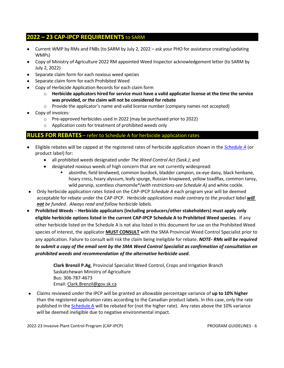# **2022 – 23 CAP-IPCP REQUIREMENTS** to SARM

- Current WMP by RMs and FNBs (to SARM by July 2, 2022 ask your PHO for assistance creating/updating WMPs)
- Copy of Ministry of Agriculture 2022 RM appointed Weed Inspector acknowledgement letter (to SARM by July 2, 2022)
- Separate claim form for each noxious weed species
- Separate claim form for each Prohibited Weed
- Copy of Herbicide Application Records for each claim form
	- o **Herbicide applicators hired for service must have a valid applicator license at the time the service was provided, or the claim will not be considered for rebate**
	- $\circ$  Provide the applicator's name and valid license number (company names not accepted)
- Copy of invoices:
	- o Pre-approved herbicides used in 2022 (may be purchased prior to 2022)
	- o Application costs for treatment of prohibited weeds only

# **RULES FOR REBATES** – refer to Schedule A for herbicide application rates

- Eligible rebates will be capped at the registered rates of herbicide application shown in the *[Schedule A](https://sarm.ca/wp-content/uploads/2022/04/CAP-IPCP-Schedule-A-2022-23-FINAL-1.pdf)* (or product label) for:
	- all prohibited weeds designated under *The Weed Control Act (Sask.)*; and
	- designated noxious weeds of high concern that are not currently widespread:
		- absinthe, field bindweed, common burdock, bladder campion, ox-eye daisy, black henbane, hoary cress, hoary alyssum, leafy spurge, Russian knapweed, yellow toadflax, common tansy, wild parsnip, scentless chamomile\**(with restrictions-see Schedule A)* and white cockle.
- Only herbicide application rates listed on the CAP-IPCP *Schedule A* each program year will be deemed acceptable for rebate under the CAP-IPCP. *Herbicide applications made contrary to the product label will not be funded. Always read and follow herbicide labels.*
- **Prohibited Weeds Herbicide applicators (including producers/other stakeholders) must apply only eligible herbicide options listed in the current CAP-IPCP Schedule A to Prohibited Weed species**. If any other herbicide listed on the Schedule A is not also listed in this document for use on the Prohibited Weed species of interest, the applicator **MUST CONSULT** with the SMA Provincial Weed Control Specialist prior to any application. Failure to consult will risk the claim being ineligible for rebate. *NOTE- RMs will be required to submit a copy of the email sent by the SMA Weed Control Specialist as confirmation of consultation on prohibited weeds and recommendation of the alternative herbicide used.*

**Clark Brenzil P.Ag**, Provincial Specialist Weed Control, Crops and Irrigation Branch Saskatchewan Ministry of Agriculture Bus: 306-787-4673 Email: [Clark.Brenzil@gov.sk.ca](mailto:Clark.Brenzil@gov.sk.ca)

• Claims reviewed under the IPCP will be granted an allowable percentage variance of **up to 10% higher** than the registered application rates according to the Canadian product labels. In this case, only the rate published in the [Schedule A](https://sarm.ca/wp-content/uploads/2022/04/CAP-IPCP-Schedule-A-2022-23-FINAL-1.pdf) will be rebated for (not the higher rate). Any rates above the 10% variance will be deemed ineligible due to negative environmental impact.

2022-23 Invasive Plant Control Program (CAP-IPCP) PROGRAM GUIDELINES - 6